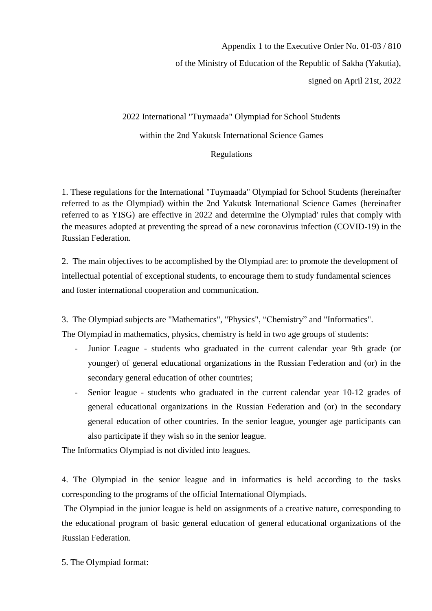## Appendix 1 to the Executive Order No. 01-03 / 810 of the Ministry of Education of the Republic of Sakha (Yakutia), signed on April 21st, 2022

2022 International "Tuymaada" Olympiad for School Students within the 2nd Yakutsk International Science Games Regulations

1. These regulations for the International "Tuymaada" Olympiad for School Students (hereinafter referred to as the Olympiad) within the 2nd Yakutsk International Science Games (hereinafter referred to as YISG) are effective in 2022 and determine the Olympiad' rules that comply with the measures adopted at preventing the spread of a new coronavirus infection (COVID-19) in the Russian Federation.

2. The main objectives to be accomplished by the Olympiad are: to promote the development of intellectual potential of exceptional students, to encourage them to study fundamental sciences and foster international cooperation and communication.

3. The Olympiad subjects are "Mathematics", "Physics", "Chemistry" and "Informatics". The Olympiad in mathematics, physics, chemistry is held in two age groups of students:

- Junior League students who graduated in the current calendar year 9th grade (or younger) of general educational organizations in the Russian Federation and (or) in the secondary general education of other countries;
- Senior league students who graduated in the current calendar year 10-12 grades of general educational organizations in the Russian Federation and (or) in the secondary general education of other countries. In the senior league, younger age participants can also participate if they wish so in the senior league.

The Informatics Olympiad is not divided into leagues.

4. The Olympiad in the senior league and in informatics is held according to the tasks corresponding to the programs of the official International Olympiads.

The Olympiad in the junior league is held on assignments of a creative nature, corresponding to the educational program of basic general education of general educational organizations of the Russian Federation.

5. The Olympiad format: